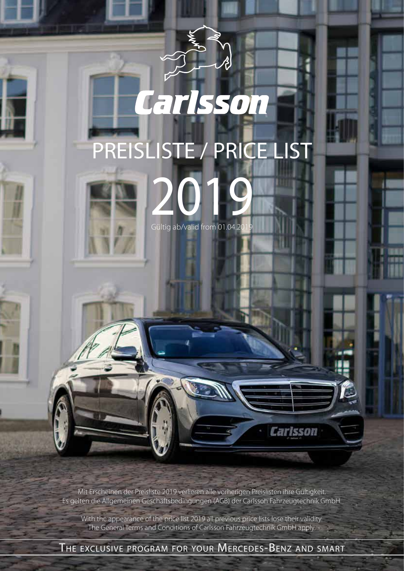# PREISLISTE / PRICE LIST

Carlsson



2019 Gültig ab/valid from 01.04.20

**Carlsson** 

Mit Erscheinen der Preisliste 2019 verlieren alle vorherigen Preislisten ihre Gültigkeit. Es gelten die Allgemeinen Geschäftsbedingungen (AGB) der Carlsson Fahrzeugtechnik GmbH.

With the appearance of the price list 2019 all previous price lists lose their validity. The General Terms and Conditions of Carlsson Fahrzeugtechnik GmbH apply.

The exclusive program for your Mercedes-Benz and smart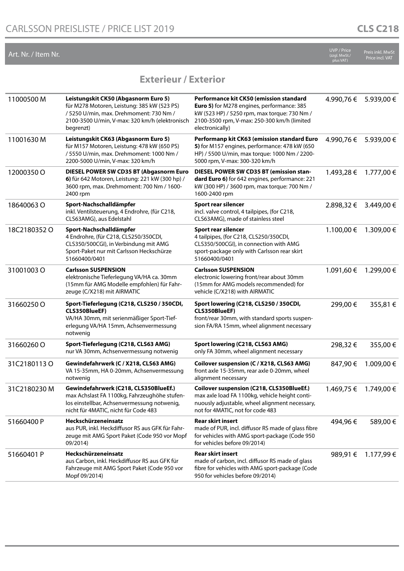| Art. Nr. / Item Nr. |                                                                                                                                                                                               |                                                                                                                                                                                                         | <b>UVP / Price</b><br>(zzgl. MwSt./<br>olus VAT) | Preis inkl. MwSt<br>Price incl. VAT |
|---------------------|-----------------------------------------------------------------------------------------------------------------------------------------------------------------------------------------------|---------------------------------------------------------------------------------------------------------------------------------------------------------------------------------------------------------|--------------------------------------------------|-------------------------------------|
|                     | <b>Exterieur / Exterior</b>                                                                                                                                                                   |                                                                                                                                                                                                         |                                                  |                                     |
| 11000500 M          | Leistungskit CK50 (Abgasnorm Euro 5)<br>für M278 Motoren, Leistung: 385 kW (523 PS)<br>/ 5250 U/min, max. Drehmoment: 730 Nm /<br>2100-3500 U/min, V-max: 320 km/h (elektronisch<br>begrenzt) | Performance kit CK50 (emission standard<br>Euro 5) for M278 engines, performance: 385<br>kW (523 HP) / 5250 rpm, max torque: 730 Nm /<br>2100-3500 rpm, V-max: 250-300 km/h (limited<br>electronically) | 4.990,76 €                                       | 5.939,00 €                          |
| 11001630M           | Leistungskit CK63 (Abgasnorm Euro 5)<br>für M157 Motoren, Leistung: 478 kW (650 PS)<br>/ 5550 U/min, max. Drehmoment: 1000 Nm /<br>2200-5000 U/min, V-max: 320 km/h                           | Performanp kit CK63 (emission standard Euro<br>5) for M157 engines, performance: 478 kW (650<br>HP) / 5500 U/min, max torque: 1000 Nm / 2200-<br>5000 rpm, V-max: 300-320 km/h                          | 4.990,76€                                        | 5.939,00 €                          |
| 12000350 O          | DIESEL POWER SW CD35 BT (Abgasnorm Euro<br>6) für 642 Motoren, Leistung: 221 kW (300 hp) /<br>3600 rpm, max. Drehmoment: 700 Nm / 1600-<br>2400 rpm                                           | DIESEL POWER SW CD35 BT (emission stan-<br>dard Euro 6) for 642 engines, performance: 221<br>kW (300 HP) / 3600 rpm, max torque: 700 Nm /<br>1600-2400 rpm                                              | 1.493,28 €                                       | 1.777,00 €                          |
| 18640063O           | Sport-Nachschalldämpfer<br>inkl. Ventilsteuerung, 4 Endrohre, (für C218,<br>CLS63AMG), aus Edelstahl                                                                                          | Sport rear silencer<br>incl. valve control, 4 tailpipes, (for C218,<br>CLS63AMG), made of stainless steel                                                                                               | 2.898,32 €                                       | 3.449,00 €                          |
| 18C2180352O         | Sport-Nachschalldämpfer<br>4 Endrohre, (für C218, CLS250/350CDI,<br>CLS350/500CGI), in Verbindung mit AMG<br>Sport-Paket nur mit Carlsson Heckschürze<br>51660400/0401                        | Sport rear silencer<br>4 tailpipes, (for C218, CLS250/350CDI,<br>CLS350/500CGI), in connection with AMG<br>sport-package only with Carlsson rear skirt<br>51660400/0401                                 | 1.100,00 €                                       | 1.309,00 €                          |
| 31001003O           | <b>Carlsson SUSPENSION</b><br>elektronische Tieferlegung VA/HA ca. 30mm<br>(15mm für AMG Modelle empfohlen) für Fahr-<br>zeuge (C/X218) mit AIRMATIC                                          | <b>Carlsson SUSPENSION</b><br>electronic lowering front/rear about 30mm<br>(15mm for AMG models recommended) for<br>vehicle (C/X218) with AIRMATIC                                                      | 1.091,60 €                                       | 1.299,00 €                          |
| 31660250O           | Sport-Tieferlegung (C218, CLS250 / 350CDI,<br>CLS350BlueEF)<br>VA/HA 30mm, mit serienmäßiger Sport-Tief-<br>erlegung VA/HA 15mm, Achsenvermessung<br>notwenig                                 | Sport lowering (C218, CLS250 / 350CDI,<br>CLS350BlueEF)<br>front/rear 30mm, with standard sports suspen-<br>sion FA/RA 15mm, wheel alignment necessary                                                  | 299,00€                                          | 355,81 €                            |
| 31660260O           | Sport-Tieferlegung (C218, CLS63 AMG)<br>nur VA 30mm, Achsenvermessung notwenig                                                                                                                | Sport lowering (C218, CLS63 AMG)<br>only FA 30mm, wheel alignment necessary                                                                                                                             | 298,32€                                          | 355,00€                             |
| 31C2180113O         | Gewindefahrwerk (C / X218, CLS63 AMG)<br>VA 15-35mm, HA 0-20mm, Achsenvermessung<br>notwenig                                                                                                  | Coilover suspension (C / X218, CLS63 AMG)<br>front axle 15-35mm, rear axle 0-20mm, wheel<br>alignment necessary                                                                                         | 847,90 €                                         | 1.009,00 €                          |
| 31C2180230M         | Gewindefahrwerk (C218, CLS350BlueEf.)<br>max Achslast FA 1100kg, Fahrzeughöhe stufen-<br>los einstellbar, Achsenvermessung notwenig,<br>nicht für 4MATIC, nicht für Code 483                  | Coilover suspension (C218, CLS350BlueEf.)<br>max axle load FA 1100kg, vehicle height conti-<br>nuously adjustable, wheel alignment necessary,<br>not for 4MATIC, not for code 483                       | 1.469,75 €                                       | 1.749,00 €                          |
| 51660400 P          | Heckschürzeneinsatz<br>aus PUR, inkl. Heckdiffusor RS aus GFK für Fahr-<br>zeuge mit AMG Sport Paket (Code 950 vor Mopf<br>09/2014)                                                           | <b>Rear skirt insert</b><br>made of PUR, incl. diffusor RS made of glass fibre<br>for vehicles with AMG sport-package (Code 950<br>for vehicles before 09/2014)                                         | 494,96€                                          | 589,00 €                            |
| 51660401 P          | Heckschürzeneinsatz<br>aus Carbon, inkl. Heckdiffusor RS aus GFK für<br>Fahrzeuge mit AMG Sport Paket (Code 950 vor<br>Mopf 09/2014)                                                          | <b>Rear skirt insert</b><br>made of carbon, incl. diffusor RS made of glass<br>fibre for vehicles with AMG sport-package (Code<br>950 for vehicles before 09/2014)                                      | 989,91 €                                         | 1.177,99 €                          |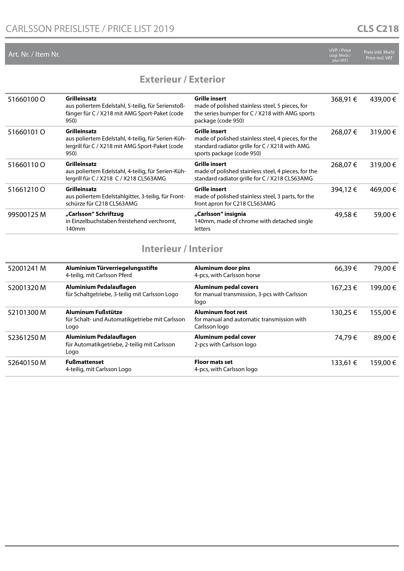|                     | <b>UVP / Price</b> |
|---------------------|--------------------|
| Art. Nr. / Item Nr. | (zzql. MwSt.,      |

(zzgl. MwSt./ plus VAT) Preis inkl. MwSt Price incl. VAT

#### **Exterieur / Exterior**

| 51660100 O | <b>Grilleinsatz</b><br>aus poliertem Edelstahl, 5-teilig, für Serienstoß-<br>fänger für C / X218 mit AMG Sport-Paket (code<br>950)   | <b>Grille insert</b><br>made of polished stainless steel, 5 pieces, for<br>the series bumper for C / X218 with AMG sports<br>package (code 950)            | 368,91 € | 439,00€  |
|------------|--------------------------------------------------------------------------------------------------------------------------------------|------------------------------------------------------------------------------------------------------------------------------------------------------------|----------|----------|
| 51660101 O | <b>Grilleinsatz</b><br>aus poliertem Edelstahl, 4-teilig, für Serien-Küh-<br>lergrill für C / X218 mit AMG Sport-Paket (code<br>950) | <b>Grille insert</b><br>made of polished stainless steel, 4 pieces, for the<br>standard radiator grille for C / X218 with AMG<br>sports package (code 950) | 268,07 € | 319,00 € |
| 51660110 O | <b>Grilleinsatz</b><br>aus poliertem Edelstahl, 4-teilig, für Serien-Küh-<br>lergrill für C / X218 C / X218 CLS63AMG                 | <b>Grille insert</b><br>made of polished stainless steel, 4 pieces, for the<br>standard radiator grille for C / X218 CLS63AMG                              | 268,07 € | 319,00€  |
| 516612100  | <b>Grilleinsatz</b><br>aus poliertem Edelstahlgitter, 3-teilig, für Front-<br>schürze für C218 CLS63AMG                              | <b>Grille insert</b><br>made of polished stainless steel, 3 parts, for the<br>front apron for C218 CLS63AMG                                                | 394,12€  | 469,00 € |
| 99500125 M | "Carlsson" Schriftzug<br>in Einzelbuchstaben freistehend verchromt.<br>140mm                                                         | "Carlsson" insignia<br>140mm, made of chrome with detached single<br>letters                                                                               | 49,58€   | 59,00€   |

## **Interieur / Interior**

| 52001241 M | Aluminium Türverriegelungsstifte<br>4-teilig, mit Carlsson Pferd                | <b>Aluminum door pins</b><br>4-pcs, with Carlsson horse                                  | 66,39€   | 79,00 € |
|------------|---------------------------------------------------------------------------------|------------------------------------------------------------------------------------------|----------|---------|
| 52001320 M | Aluminium Pedalauflagen<br>für Schaltgetriebe, 3-teilig mit Carlsson Logo       | <b>Aluminum pedal covers</b><br>for manual transmission, 3-pcs with Carlsson<br>logo     | 167,23 € | 199,00€ |
| 52101300 M | Aluminum Fußstütze<br>für Schalt- und Automatikgetriebe mit Carlsson<br>Logo    | <b>Aluminum foot rest</b><br>for manual and automatic transmission with<br>Carlsson logo | 130,25 € | 155,00€ |
| 52361250 M | Aluminium Pedalauflagen<br>für Automatikgetriebe, 2-teilig mit Carlsson<br>Logo | Aluminum pedal cover<br>2-pcs with Carlsson logo                                         | 74,79€   | 89,00 € |
| 52640150 M | <b>Fußmattenset</b><br>4-teilig, mit Carlsson Logo                              | <b>Floor mats set</b><br>4-pcs, with Carlsson logo                                       | 133,61 € | 159,00€ |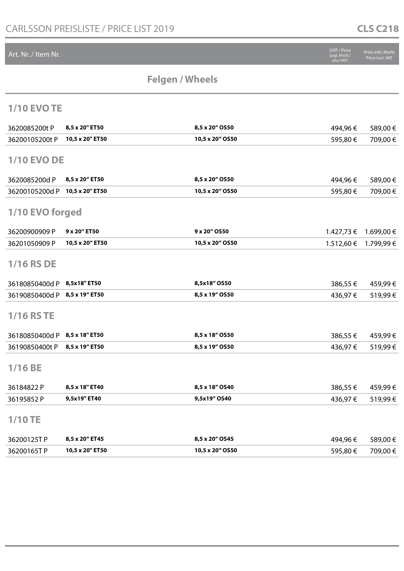## **CLS C218**

| <b>Felgen / Wheels</b><br><b>1/10 EVO TE</b><br>8,5 x 20" ET50<br>8,5 x 20" OS50<br>3620085200t P<br>494,96€<br>589,00€<br>10,5 x 20" ET50<br>10,5 x 20" OS50<br>709,00 €<br>36200105200t P<br>595,80€<br><b>1/10 EVO DE</b><br>8,5 x 20" ET50<br>8,5 x 20" OS50<br>3620085200d P<br>494,96€<br>589,00€<br>10,5 x 20" ET50<br>10,5 x 20" OS50<br>709,00€<br>36200105200d P<br>595,80€<br>1/10 EVO forged<br>9 x 20" OS50<br>9 x 20" ET50<br>36200900909 P<br>1.699,00 €<br>1.427,73 €<br>10,5 x 20" OS50<br>10,5 x 20" ET50<br>1.512,60 €<br>1.799,99€<br>36201050909 P<br><b>1/16 RS DE</b><br>8,5x18" OS50<br>8,5x18" ET50<br>36180850400d P<br>459,99€<br>386,55€<br>8,5 x 19" OS50<br>8,5 x 19" ET50<br>519,99€<br>36190850400d P<br>436,97€<br><b>1/16 RS TE</b><br>8,5 x 18" ET50<br>8,5 x 18" OS50<br>36180850400d P<br>459,99€<br>386,55 €<br>8,5 x 19" ET50<br>8,5 x 19" OS50<br>36190850400t P<br>519,99€<br>436,97€<br>$1/16$ BE<br>8,5 x 18" OS40<br>8,5 x 18" ET40<br>36184822 P<br>459,99€<br>386,55 €<br>9,5x19" ET40<br>9,5x19" OS40<br>519,99€<br>436,97€<br>36195852P<br>$1/10$ TE<br>8,5 x 20" OS45<br>8,5 x 20" ET45<br>36200125TP<br>494,96€<br>589,00€<br>10,5 x 20" ET50<br>10,5 x 20" OS50<br>709,00€<br>36200165TP<br>595,80€ | Art. Nr. / Item Nr. |  | UVP / Price<br>(zzgl. MwSt./<br>plus VAT) | Preis inkl. MwSt<br>Price incl. VAT |
|--------------------------------------------------------------------------------------------------------------------------------------------------------------------------------------------------------------------------------------------------------------------------------------------------------------------------------------------------------------------------------------------------------------------------------------------------------------------------------------------------------------------------------------------------------------------------------------------------------------------------------------------------------------------------------------------------------------------------------------------------------------------------------------------------------------------------------------------------------------------------------------------------------------------------------------------------------------------------------------------------------------------------------------------------------------------------------------------------------------------------------------------------------------------------------------------------------------------------------------------------------|---------------------|--|-------------------------------------------|-------------------------------------|
|                                                                                                                                                                                                                                                                                                                                                                                                                                                                                                                                                                                                                                                                                                                                                                                                                                                                                                                                                                                                                                                                                                                                                                                                                                                        |                     |  |                                           |                                     |
|                                                                                                                                                                                                                                                                                                                                                                                                                                                                                                                                                                                                                                                                                                                                                                                                                                                                                                                                                                                                                                                                                                                                                                                                                                                        |                     |  |                                           |                                     |
|                                                                                                                                                                                                                                                                                                                                                                                                                                                                                                                                                                                                                                                                                                                                                                                                                                                                                                                                                                                                                                                                                                                                                                                                                                                        |                     |  |                                           |                                     |
|                                                                                                                                                                                                                                                                                                                                                                                                                                                                                                                                                                                                                                                                                                                                                                                                                                                                                                                                                                                                                                                                                                                                                                                                                                                        |                     |  |                                           |                                     |
|                                                                                                                                                                                                                                                                                                                                                                                                                                                                                                                                                                                                                                                                                                                                                                                                                                                                                                                                                                                                                                                                                                                                                                                                                                                        |                     |  |                                           |                                     |
|                                                                                                                                                                                                                                                                                                                                                                                                                                                                                                                                                                                                                                                                                                                                                                                                                                                                                                                                                                                                                                                                                                                                                                                                                                                        |                     |  |                                           |                                     |
|                                                                                                                                                                                                                                                                                                                                                                                                                                                                                                                                                                                                                                                                                                                                                                                                                                                                                                                                                                                                                                                                                                                                                                                                                                                        |                     |  |                                           |                                     |
|                                                                                                                                                                                                                                                                                                                                                                                                                                                                                                                                                                                                                                                                                                                                                                                                                                                                                                                                                                                                                                                                                                                                                                                                                                                        |                     |  |                                           |                                     |
|                                                                                                                                                                                                                                                                                                                                                                                                                                                                                                                                                                                                                                                                                                                                                                                                                                                                                                                                                                                                                                                                                                                                                                                                                                                        |                     |  |                                           |                                     |
|                                                                                                                                                                                                                                                                                                                                                                                                                                                                                                                                                                                                                                                                                                                                                                                                                                                                                                                                                                                                                                                                                                                                                                                                                                                        |                     |  |                                           |                                     |
|                                                                                                                                                                                                                                                                                                                                                                                                                                                                                                                                                                                                                                                                                                                                                                                                                                                                                                                                                                                                                                                                                                                                                                                                                                                        |                     |  |                                           |                                     |
|                                                                                                                                                                                                                                                                                                                                                                                                                                                                                                                                                                                                                                                                                                                                                                                                                                                                                                                                                                                                                                                                                                                                                                                                                                                        |                     |  |                                           |                                     |
|                                                                                                                                                                                                                                                                                                                                                                                                                                                                                                                                                                                                                                                                                                                                                                                                                                                                                                                                                                                                                                                                                                                                                                                                                                                        |                     |  |                                           |                                     |
|                                                                                                                                                                                                                                                                                                                                                                                                                                                                                                                                                                                                                                                                                                                                                                                                                                                                                                                                                                                                                                                                                                                                                                                                                                                        |                     |  |                                           |                                     |
|                                                                                                                                                                                                                                                                                                                                                                                                                                                                                                                                                                                                                                                                                                                                                                                                                                                                                                                                                                                                                                                                                                                                                                                                                                                        |                     |  |                                           |                                     |
|                                                                                                                                                                                                                                                                                                                                                                                                                                                                                                                                                                                                                                                                                                                                                                                                                                                                                                                                                                                                                                                                                                                                                                                                                                                        |                     |  |                                           |                                     |
|                                                                                                                                                                                                                                                                                                                                                                                                                                                                                                                                                                                                                                                                                                                                                                                                                                                                                                                                                                                                                                                                                                                                                                                                                                                        |                     |  |                                           |                                     |
|                                                                                                                                                                                                                                                                                                                                                                                                                                                                                                                                                                                                                                                                                                                                                                                                                                                                                                                                                                                                                                                                                                                                                                                                                                                        |                     |  |                                           |                                     |
|                                                                                                                                                                                                                                                                                                                                                                                                                                                                                                                                                                                                                                                                                                                                                                                                                                                                                                                                                                                                                                                                                                                                                                                                                                                        |                     |  |                                           |                                     |
|                                                                                                                                                                                                                                                                                                                                                                                                                                                                                                                                                                                                                                                                                                                                                                                                                                                                                                                                                                                                                                                                                                                                                                                                                                                        |                     |  |                                           |                                     |
|                                                                                                                                                                                                                                                                                                                                                                                                                                                                                                                                                                                                                                                                                                                                                                                                                                                                                                                                                                                                                                                                                                                                                                                                                                                        |                     |  |                                           |                                     |
|                                                                                                                                                                                                                                                                                                                                                                                                                                                                                                                                                                                                                                                                                                                                                                                                                                                                                                                                                                                                                                                                                                                                                                                                                                                        |                     |  |                                           |                                     |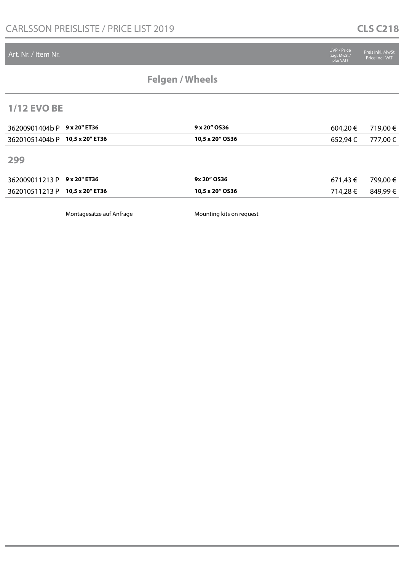#### Art. Nr. / Item Nr.

# **Felgen / Wheels**

#### **1/12 EVO BE**

| 36200901404b P 9 x 20" ET36    | 9 x 20" OS36    | $604,20 \in$ 719,00 € |  |
|--------------------------------|-----------------|-----------------------|--|
| 36201051404b P 10,5 x 20" ET36 | 10.5 x 20" OS36 | 652,94 € 777,00 €     |  |

**299**

|  | 9x 20" OS36     | 671.43 € | 799.00 € |
|--|-----------------|----------|----------|
|  | 10,5 x 20" OS36 | 714.28 € | 849.99€  |

Montagesätze auf Anfrage Mounting kits on request

Preis inkl. MwSt Price incl. VAT

(zzgl. MwSt./ plus VAT)